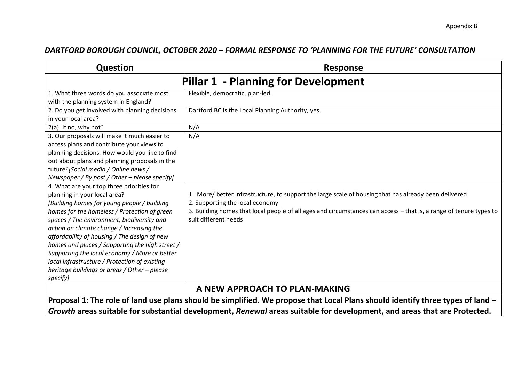## *DARTFORD BOROUGH COUNCIL, OCTOBER 2020 – FORMAL RESPONSE TO 'PLANNING FOR THE FUTURE' CONSULTATION*

| <b>Question</b>                                                                                                                                                                                                                                                                                                                                                                                                                                                                                                                      | <b>Response</b>                                                                                                                                                                                                                                                                        |  |
|--------------------------------------------------------------------------------------------------------------------------------------------------------------------------------------------------------------------------------------------------------------------------------------------------------------------------------------------------------------------------------------------------------------------------------------------------------------------------------------------------------------------------------------|----------------------------------------------------------------------------------------------------------------------------------------------------------------------------------------------------------------------------------------------------------------------------------------|--|
|                                                                                                                                                                                                                                                                                                                                                                                                                                                                                                                                      | <b>Pillar 1 - Planning for Development</b>                                                                                                                                                                                                                                             |  |
| 1. What three words do you associate most<br>with the planning system in England?                                                                                                                                                                                                                                                                                                                                                                                                                                                    | Flexible, democratic, plan-led.                                                                                                                                                                                                                                                        |  |
| 2. Do you get involved with planning decisions<br>in your local area?                                                                                                                                                                                                                                                                                                                                                                                                                                                                | Dartford BC is the Local Planning Authority, yes.                                                                                                                                                                                                                                      |  |
| $2(a)$ . If no, why not?                                                                                                                                                                                                                                                                                                                                                                                                                                                                                                             | N/A                                                                                                                                                                                                                                                                                    |  |
| 3. Our proposals will make it much easier to<br>access plans and contribute your views to<br>planning decisions. How would you like to find<br>out about plans and planning proposals in the<br>future? [Social media / Online news /<br>Newspaper / By post / Other - please specify]                                                                                                                                                                                                                                               | N/A                                                                                                                                                                                                                                                                                    |  |
| 4. What are your top three priorities for<br>planning in your local area?<br>[Building homes for young people / building<br>homes for the homeless / Protection of green<br>spaces / The environment, biodiversity and<br>action on climate change / Increasing the<br>affordability of housing / The design of new<br>homes and places / Supporting the high street /<br>Supporting the local economy / More or better<br>local infrastructure / Protection of existing<br>heritage buildings or areas / Other - please<br>specify] | 1. More/ better infrastructure, to support the large scale of housing that has already been delivered<br>2. Supporting the local economy<br>3. Building homes that local people of all ages and circumstances can access - that is, a range of tenure types to<br>suit different needs |  |
| A NEW APPROACH TO PLAN-MAKING                                                                                                                                                                                                                                                                                                                                                                                                                                                                                                        |                                                                                                                                                                                                                                                                                        |  |
| Proposal 1: The role of land use plans should be simplified. We propose that Local Plans should identify three types of land -                                                                                                                                                                                                                                                                                                                                                                                                       |                                                                                                                                                                                                                                                                                        |  |

*Growth* **areas suitable for substantial development,** *Renewal* **areas suitable for development, and areas that are Protected.**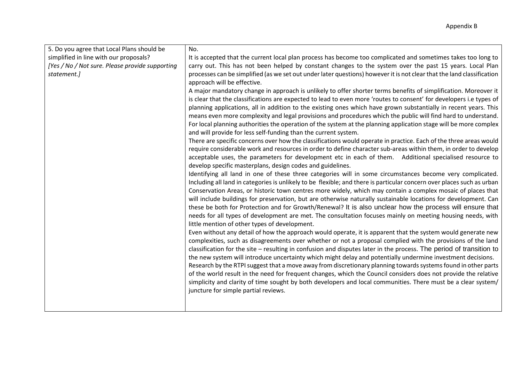| 5. Do you agree that Local Plans should be      | No.                                                                                                                                                                                                                    |
|-------------------------------------------------|------------------------------------------------------------------------------------------------------------------------------------------------------------------------------------------------------------------------|
| simplified in line with our proposals?          | It is accepted that the current local plan process has become too complicated and sometimes takes too long to                                                                                                          |
| [Yes / No / Not sure. Please provide supporting | carry out. This has not been helped by constant changes to the system over the past 15 years. Local Plan                                                                                                               |
| statement.]                                     | processes can be simplified (as we set out under later questions) however it is not clear that the land classification                                                                                                 |
|                                                 | approach will be effective.                                                                                                                                                                                            |
|                                                 | A major mandatory change in approach is unlikely to offer shorter terms benefits of simplification. Moreover it                                                                                                        |
|                                                 | is clear that the classifications are expected to lead to even more 'routes to consent' for developers i.e types of                                                                                                    |
|                                                 | planning applications, all in addition to the existing ones which have grown substantially in recent years. This                                                                                                       |
|                                                 | means even more complexity and legal provisions and procedures which the public will find hard to understand.                                                                                                          |
|                                                 | For local planning authorities the operation of the system at the planning application stage will be more complex                                                                                                      |
|                                                 | and will provide for less self-funding than the current system.                                                                                                                                                        |
|                                                 | There are specific concerns over how the classifications would operate in practice. Each of the three areas would                                                                                                      |
|                                                 | require considerable work and resources in order to define character sub-areas within them, in order to develop                                                                                                        |
|                                                 | acceptable uses, the parameters for development etc in each of them. Additional specialised resource to                                                                                                                |
|                                                 | develop specific masterplans, design codes and guidelines.                                                                                                                                                             |
|                                                 | Identifying all land in one of these three categories will in some circumstances become very complicated.                                                                                                              |
|                                                 | Including all land in categories is unlikely to be flexible; and there is particular concern over places such as urban                                                                                                 |
|                                                 | Conservation Areas, or historic town centres more widely, which may contain a complex mosaic of places that                                                                                                            |
|                                                 | will include buildings for preservation, but are otherwise naturally sustainable locations for development. Can                                                                                                        |
|                                                 | these be both for Protection and for Growth/Renewal? It is also unclear how the process will ensure that<br>needs for all types of development are met. The consultation focuses mainly on meeting housing needs, with |
|                                                 | little mention of other types of development.                                                                                                                                                                          |
|                                                 | Even without any detail of how the approach would operate, it is apparent that the system would generate new                                                                                                           |
|                                                 | complexities, such as disagreements over whether or not a proposal complied with the provisions of the land                                                                                                            |
|                                                 | classification for the site – resulting in confusion and disputes later in the process. The period of transition to                                                                                                    |
|                                                 | the new system will introduce uncertainty which might delay and potentially undermine investment decisions.                                                                                                            |
|                                                 | Research by the RTPI suggest that a move away from discretionary planning towards systems found in other parts                                                                                                         |
|                                                 | of the world result in the need for frequent changes, which the Council considers does not provide the relative                                                                                                        |
|                                                 | simplicity and clarity of time sought by both developers and local communities. There must be a clear system/                                                                                                          |
|                                                 | juncture for simple partial reviews.                                                                                                                                                                                   |
|                                                 |                                                                                                                                                                                                                        |
|                                                 |                                                                                                                                                                                                                        |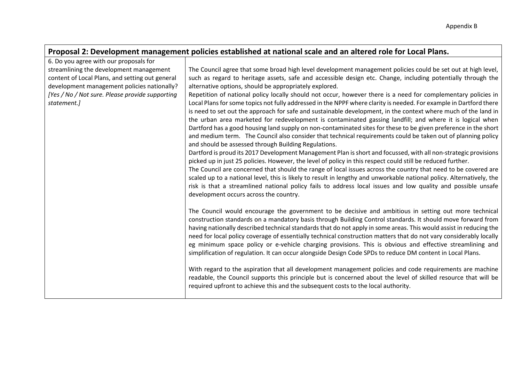| Proposal 2: Development management policies established at national scale and an altered role for Local Plans. |                                                                                                                                                                                                                                                                                                                                                                                                                                                                  |  |
|----------------------------------------------------------------------------------------------------------------|------------------------------------------------------------------------------------------------------------------------------------------------------------------------------------------------------------------------------------------------------------------------------------------------------------------------------------------------------------------------------------------------------------------------------------------------------------------|--|
| 6. Do you agree with our proposals for                                                                         |                                                                                                                                                                                                                                                                                                                                                                                                                                                                  |  |
| streamlining the development management                                                                        | The Council agree that some broad high level development management policies could be set out at high level,                                                                                                                                                                                                                                                                                                                                                     |  |
| content of Local Plans, and setting out general                                                                | such as regard to heritage assets, safe and accessible design etc. Change, including potentially through the                                                                                                                                                                                                                                                                                                                                                     |  |
| development management policies nationally?                                                                    | alternative options, should be appropriately explored.                                                                                                                                                                                                                                                                                                                                                                                                           |  |
| [Yes / No / Not sure. Please provide supporting                                                                | Repetition of national policy locally should not occur, however there is a need for complementary policies in                                                                                                                                                                                                                                                                                                                                                    |  |
| statement.]                                                                                                    | Local Plans for some topics not fully addressed in the NPPF where clarity is needed. For example in Dartford there                                                                                                                                                                                                                                                                                                                                               |  |
|                                                                                                                | is need to set out the approach for safe and sustainable development, in the context where much of the land in                                                                                                                                                                                                                                                                                                                                                   |  |
|                                                                                                                | the urban area marketed for redevelopment is contaminated gassing landfill; and where it is logical when                                                                                                                                                                                                                                                                                                                                                         |  |
|                                                                                                                | Dartford has a good housing land supply on non-contaminated sites for these to be given preference in the short                                                                                                                                                                                                                                                                                                                                                  |  |
|                                                                                                                | and medium term. The Council also consider that technical requirements could be taken out of planning policy                                                                                                                                                                                                                                                                                                                                                     |  |
|                                                                                                                | and should be assessed through Building Regulations.                                                                                                                                                                                                                                                                                                                                                                                                             |  |
|                                                                                                                | Dartford is proud its 2017 Development Management Plan is short and focussed, with all non-strategic provisions                                                                                                                                                                                                                                                                                                                                                  |  |
|                                                                                                                | picked up in just 25 policies. However, the level of policy in this respect could still be reduced further.                                                                                                                                                                                                                                                                                                                                                      |  |
|                                                                                                                | The Council are concerned that should the range of local issues across the country that need to be covered are                                                                                                                                                                                                                                                                                                                                                   |  |
|                                                                                                                | scaled up to a national level, this is likely to result in lengthy and unworkable national policy. Alternatively, the                                                                                                                                                                                                                                                                                                                                            |  |
|                                                                                                                | risk is that a streamlined national policy fails to address local issues and low quality and possible unsafe                                                                                                                                                                                                                                                                                                                                                     |  |
|                                                                                                                | development occurs across the country.                                                                                                                                                                                                                                                                                                                                                                                                                           |  |
|                                                                                                                | The Council would encourage the government to be decisive and ambitious in setting out more technical<br>construction standards on a mandatory basis through Building Control standards. It should move forward from<br>having nationally described technical standards that do not apply in some areas. This would assist in reducing the<br>need for local policy coverage of essentially technical construction matters that do not vary considerably locally |  |
|                                                                                                                | eg minimum space policy or e-vehicle charging provisions. This is obvious and effective streamlining and<br>simplification of regulation. It can occur alongside Design Code SPDs to reduce DM content in Local Plans.                                                                                                                                                                                                                                           |  |
|                                                                                                                | With regard to the aspiration that all development management policies and code requirements are machine<br>readable, the Council supports this principle but is concerned about the level of skilled resource that will be<br>required upfront to achieve this and the subsequent costs to the local authority.                                                                                                                                                 |  |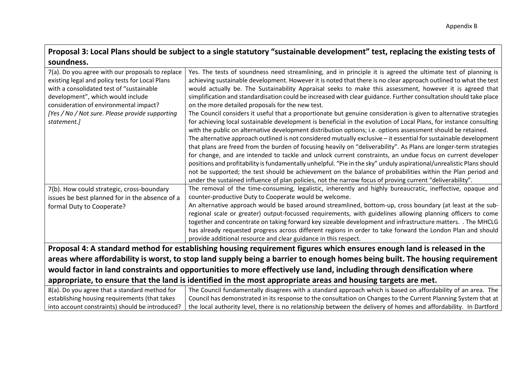# **Proposal 3: Local Plans should be subject to a single statutory "sustainable development" test, replacing the existing tests of soundness.**

| 7(a). Do you agree with our proposals to replace                                                                             | Yes. The tests of soundness need streamlining, and in principle it is agreed the ultimate test of planning is         |
|------------------------------------------------------------------------------------------------------------------------------|-----------------------------------------------------------------------------------------------------------------------|
| existing legal and policy tests for Local Plans                                                                              | achieving sustainable development. However it is noted that there is no clear approach outlined to what the test      |
| with a consolidated test of "sustainable                                                                                     | would actually be. The Sustainability Appraisal seeks to make this assessment, however it is agreed that              |
| development", which would include                                                                                            | simplification and standardisation could be increased with clear guidance. Further consultation should take place     |
| consideration of environmental impact?                                                                                       | on the more detailed proposals for the new test.                                                                      |
| [Yes / No / Not sure. Please provide supporting                                                                              | The Council considers it useful that a proportionate but genuine consideration is given to alternative strategies     |
| statement.]                                                                                                                  | for achieving local sustainable development is beneficial in the evolution of Local Plans, for instance consulting    |
|                                                                                                                              | with the public on alternative development distribution options; i.e. options assessment should be retained.          |
|                                                                                                                              | The alternative approach outlined is not considered mutually exclusive - it essential for sustainable development     |
|                                                                                                                              | that plans are freed from the burden of focusing heavily on "deliverability". As Plans are longer-term strategies     |
|                                                                                                                              | for change, and are intended to tackle and unlock current constraints, an undue focus on current developer            |
|                                                                                                                              | positions and profitability is fundamentally unhelpful. "Pie in the sky" unduly aspirational/unrealistic Plans should |
|                                                                                                                              | not be supported; the test should be achievement on the balance of probabilities within the Plan period and           |
|                                                                                                                              | under the sustained influence of plan policies, not the narrow focus of proving current "deliverability".             |
| 7(b). How could strategic, cross-boundary                                                                                    | The removal of the time-consuming, legalistic, inherently and highly bureaucratic, ineffective, opaque and            |
| issues be best planned for in the absence of a                                                                               | counter-productive Duty to Cooperate would be welcome.                                                                |
| formal Duty to Cooperate?                                                                                                    | An alternative approach would be based around streamlined, bottom-up, cross boundary (at least at the sub-            |
|                                                                                                                              | regional scale or greater) output-focussed requirements, with guidelines allowing planning officers to come           |
|                                                                                                                              | together and concentrate on taking forward key sizeable development and infrastructure matters. . The MHCLG           |
|                                                                                                                              | has already requested progress across different regions in order to take forward the London Plan and should           |
|                                                                                                                              | provide additional resource and clear guidance in this respect.                                                       |
| Proposal 4: A standard method for establishing housing requirement figures which ensures enough land is released in the      |                                                                                                                       |
| areas where affordability is worst, to stop land supply being a barrier to enough homes being built. The housing requirement |                                                                                                                       |
| would factor in land constraints and opportunities to more effectively use land, including through densification where       |                                                                                                                       |
|                                                                                                                              |                                                                                                                       |
|                                                                                                                              | appropriate, to ensure that the land is identified in the most appropriate areas and housing targets are met.         |
| 8(a). Do you agree that a standard method for                                                                                | The Council fundamentally disagrees with a standard approach which is based on affordability of an area. The          |
| establishing housing requirements (that takes                                                                                | Council has demonstrated in its response to the consultation on Changes to the Current Planning System that at        |

the local authority level, there is no relationship between the delivery of homes and affordability. In Dartford

into account constraints) should be introduced?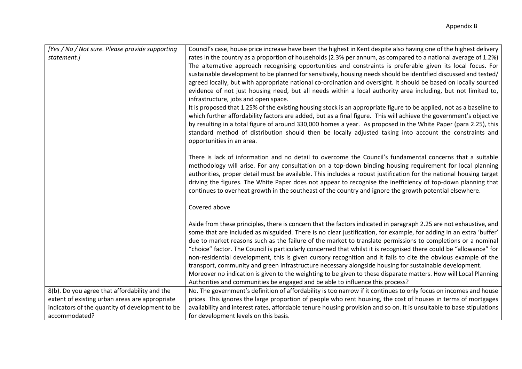| [Yes / No / Not sure. Please provide supporting | Council's case, house price increase have been the highest in Kent despite also having one of the highest delivery                                                                                                                 |
|-------------------------------------------------|------------------------------------------------------------------------------------------------------------------------------------------------------------------------------------------------------------------------------------|
| statement.]                                     | rates in the country as a proportion of households (2.3% per annum, as compared to a national average of 1.2%)                                                                                                                     |
|                                                 | The alternative approach recognising opportunities and constraints is preferable given its local focus. For                                                                                                                        |
|                                                 | sustainable development to be planned for sensitively, housing needs should be identified discussed and tested/                                                                                                                    |
|                                                 | agreed locally, but with appropriate national co-ordination and oversight. It should be based on locally sourced                                                                                                                   |
|                                                 | evidence of not just housing need, but all needs within a local authority area including, but not limited to,                                                                                                                      |
|                                                 | infrastructure, jobs and open space.                                                                                                                                                                                               |
|                                                 | It is proposed that 1.25% of the existing housing stock is an appropriate figure to be applied, not as a baseline to                                                                                                               |
|                                                 | which further affordability factors are added, but as a final figure. This will achieve the government's objective                                                                                                                 |
|                                                 | by resulting in a total figure of around 330,000 homes a year. As proposed in the White Paper (para 2.25), this                                                                                                                    |
|                                                 | standard method of distribution should then be locally adjusted taking into account the constraints and                                                                                                                            |
|                                                 | opportunities in an area.                                                                                                                                                                                                          |
|                                                 |                                                                                                                                                                                                                                    |
|                                                 | There is lack of information and no detail to overcome the Council's fundamental concerns that a suitable                                                                                                                          |
|                                                 | methodology will arise. For any consultation on a top-down binding housing requirement for local planning                                                                                                                          |
|                                                 | authorities, proper detail must be available. This includes a robust justification for the national housing target<br>driving the figures. The White Paper does not appear to recognise the inefficiency of top-down planning that |
|                                                 | continues to overheat growth in the southeast of the country and ignore the growth potential elsewhere.                                                                                                                            |
|                                                 |                                                                                                                                                                                                                                    |
|                                                 | Covered above                                                                                                                                                                                                                      |
|                                                 |                                                                                                                                                                                                                                    |
|                                                 | Aside from these principles, there is concern that the factors indicated in paragraph 2.25 are not exhaustive, and                                                                                                                 |
|                                                 | some that are included as misguided. There is no clear justification, for example, for adding in an extra 'buffer'                                                                                                                 |
|                                                 | due to market reasons such as the failure of the market to translate permissions to completions or a nominal                                                                                                                       |
|                                                 | "choice" factor. The Council is particularly concerned that whilst it is recognised there could be "allowance" for                                                                                                                 |
|                                                 | non-residential development, this is given cursory recognition and it fails to cite the obvious example of the                                                                                                                     |
|                                                 | transport, community and green infrastructure necessary alongside housing for sustainable development.                                                                                                                             |
|                                                 | Moreover no indication is given to the weighting to be given to these disparate matters. How will Local Planning                                                                                                                   |
|                                                 | Authorities and communities be engaged and be able to influence this process?                                                                                                                                                      |
| 8(b). Do you agree that affordability and the   | No. The government's definition of affordability is too narrow if it continues to only focus on incomes and house                                                                                                                  |
| extent of existing urban areas are appropriate  | prices. This ignores the large proportion of people who rent housing, the cost of houses in terms of mortgages                                                                                                                     |
| indicators of the quantity of development to be | availability and interest rates, affordable tenure housing provision and so on. It is unsuitable to base stipulations                                                                                                              |
| accommodated?                                   | for development levels on this basis.                                                                                                                                                                                              |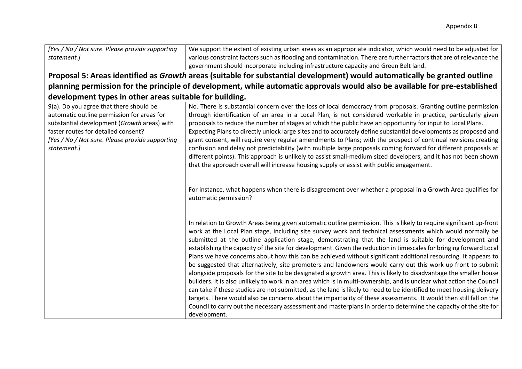| [Yes / No / Not sure. Please provide supporting         | We support the extent of existing urban areas as an appropriate indicator, which would need to be adjusted for              |
|---------------------------------------------------------|-----------------------------------------------------------------------------------------------------------------------------|
| statement.]                                             | various constraint factors such as flooding and contamination. There are further factors that are of relevance the          |
|                                                         | government should incorporate including infrastructure capacity and Green Belt land.                                        |
|                                                         | Proposal 5: Areas identified as Growth areas (suitable for substantial development) would automatically be granted outline  |
|                                                         | planning permission for the principle of development, while automatic approvals would also be available for pre-established |
| development types in other areas suitable for building. |                                                                                                                             |
| 9(a). Do you agree that there should be                 | No. There is substantial concern over the loss of local democracy from proposals. Granting outline permission               |
| automatic outline permission for areas for              | through identification of an area in a Local Plan, is not considered workable in practice, particularly given               |
| substantial development (Growth areas) with             | proposals to reduce the number of stages at which the public have an opportunity for input to Local Plans.                  |
| faster routes for detailed consent?                     | Expecting Plans to directly unlock large sites and to accurately define substantial developments as proposed and            |
| [Yes / No / Not sure. Please provide supporting         | grant consent, will require very regular amendments to Plans; with the prospect of continual revisions creating             |
| statement.]                                             | confusion and delay not predictability (with multiple large proposals coming forward for different proposals at             |
|                                                         | different points). This approach is unlikely to assist small-medium sized developers, and it has not been shown             |
|                                                         | that the approach overall will increase housing supply or assist with public engagement.                                    |
|                                                         |                                                                                                                             |
|                                                         | For instance, what happens when there is disagreement over whether a proposal in a Growth Area qualifies for                |
|                                                         | automatic permission?                                                                                                       |
|                                                         |                                                                                                                             |
|                                                         |                                                                                                                             |
|                                                         | In relation to Growth Areas being given automatic outline permission. This is likely to require significant up-front        |
|                                                         | work at the Local Plan stage, including site survey work and technical assessments which would normally be                  |
|                                                         | submitted at the outline application stage, demonstrating that the land is suitable for development and                     |
|                                                         | establishing the capacity of the site for development. Given the reduction in timescales for bringing forward Local         |
|                                                         | Plans we have concerns about how this can be achieved without significant additional resourcing. It appears to              |
|                                                         | be suggested that alternatively, site promoters and landowners would carry out this work up front to submit                 |
|                                                         | alongside proposals for the site to be designated a growth area. This is likely to disadvantage the smaller house           |
|                                                         | builders. It is also unlikely to work in an area which is in multi-ownership, and is unclear what action the Council        |
|                                                         | can take if these studies are not submitted, as the land is likely to need to be identified to meet housing delivery        |
|                                                         | targets. There would also be concerns about the impartiality of these assessments. It would then still fall on the          |
|                                                         | Council to carry out the necessary assessment and masterplans in order to determine the capacity of the site for            |
|                                                         | development.                                                                                                                |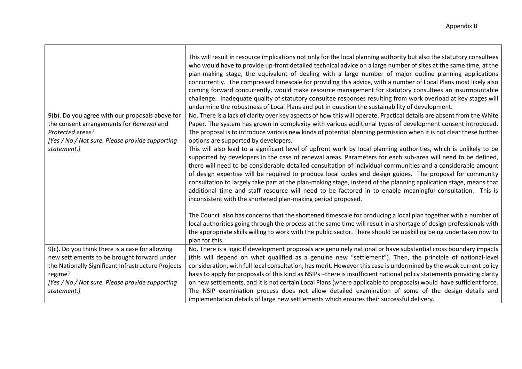|                                                                                                                                                                                                                    | This will result in resource implications not only for the local planning authority but also the statutory consultees<br>who would have to provide up-front detailed technical advice on a large number of sites at the same time, at the<br>plan-making stage, the equivalent of dealing with a large number of major outline planning applications<br>concurrently. The compressed timescale for providing this advice, with a number of Local Plans most likely also<br>coming forward concurrently, would make resource management for statutory consultees an insurmountable<br>challenge. Inadequate quality of statutory consultee responses resulting from work overload at key stages will<br>undermine the robustness of Local Plans and put in question the sustainability of development. |
|--------------------------------------------------------------------------------------------------------------------------------------------------------------------------------------------------------------------|-------------------------------------------------------------------------------------------------------------------------------------------------------------------------------------------------------------------------------------------------------------------------------------------------------------------------------------------------------------------------------------------------------------------------------------------------------------------------------------------------------------------------------------------------------------------------------------------------------------------------------------------------------------------------------------------------------------------------------------------------------------------------------------------------------|
| 9(b). Do you agree with our proposals above for                                                                                                                                                                    | No. There is a lack of clarity over key aspects of how this will operate. Practical details are absent from the White                                                                                                                                                                                                                                                                                                                                                                                                                                                                                                                                                                                                                                                                                 |
| the consent arrangements for Renewal and<br>Protected areas?                                                                                                                                                       | Paper. The system has grown in complexity with various additional types of development consent introduced.<br>The proposal is to introduce various new kinds of potential planning permission when it is not clear these further                                                                                                                                                                                                                                                                                                                                                                                                                                                                                                                                                                      |
| [Yes / No / Not sure. Please provide supporting                                                                                                                                                                    | options are supported by developers.                                                                                                                                                                                                                                                                                                                                                                                                                                                                                                                                                                                                                                                                                                                                                                  |
| statement.]                                                                                                                                                                                                        | This will also lead to a significant level of upfront work by local planning authorities, which is unlikely to be<br>supported by developers in the case of renewal areas. Parameters for each sub-area will need to be defined,<br>there will need to be considerable detailed consultation of individual communities and a considerable amount<br>of design expertise will be required to produce local codes and design guides. The proposal for community<br>consultation to largely take part at the plan-making stage, instead of the planning application stage, means that<br>additional time and staff resource will need to be factored in to enable meaningful consultation. This is<br>inconsistent with the shortened plan-making period proposed.                                       |
|                                                                                                                                                                                                                    | The Council also has concerns that the shortened timescale for producing a local plan together with a number of<br>local authorities going through the process at the same time will result in a shortage of design professionals with<br>the appropriate skills willing to work with the public sector. There should be upskilling being undertaken now to<br>plan for this.                                                                                                                                                                                                                                                                                                                                                                                                                         |
| 9(c). Do you think there is a case for allowing<br>new settlements to be brought forward under<br>the Nationally Significant Infrastructure Projects<br>regime?<br>[Yes / No / Not sure. Please provide supporting | No. There is a logic If development proposals are genuinely national or have substantial cross boundary impacts<br>(this will depend on what qualified as a genuine new "settlement"). Then, the principle of national-level<br>consideration, with full local consultation, has merit. However this case is undermined by the weak current policy<br>basis to apply for proposals of this kind as NSIPs-there is insufficient national policy statements providing clarity<br>on new settlements, and it is not certain Local Plans (where applicable to proposals) would have sufficient force.                                                                                                                                                                                                     |
| statement.]                                                                                                                                                                                                        | The NSIP examination process does not allow detailed examination of some of the design details and<br>implementation details of large new settlements which ensures their successful delivery.                                                                                                                                                                                                                                                                                                                                                                                                                                                                                                                                                                                                        |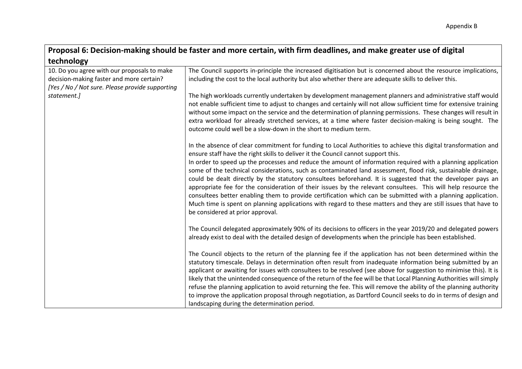## **Proposal 6: Decision-making should be faster and more certain, with firm deadlines, and make greater use of digital technology**

| 10. Do you agree with our proposals to make                    | The Council supports in-principle the increased digitisation but is concerned about the resource implications,                                                                                                                        |
|----------------------------------------------------------------|---------------------------------------------------------------------------------------------------------------------------------------------------------------------------------------------------------------------------------------|
| decision-making faster and more certain?                       | including the cost to the local authority but also whether there are adequate skills to deliver this.                                                                                                                                 |
| [Yes / No / Not sure. Please provide supporting<br>statement.] | The high workloads currently undertaken by development management planners and administrative staff would                                                                                                                             |
|                                                                | not enable sufficient time to adjust to changes and certainly will not allow sufficient time for extensive training                                                                                                                   |
|                                                                | without some impact on the service and the determination of planning permissions. These changes will result in                                                                                                                        |
|                                                                | extra workload for already stretched services, at a time where faster decision-making is being sought. The                                                                                                                            |
|                                                                | outcome could well be a slow-down in the short to medium term.                                                                                                                                                                        |
|                                                                | In the absence of clear commitment for funding to Local Authorities to achieve this digital transformation and<br>ensure staff have the right skills to deliver it the Council cannot support this.                                   |
|                                                                | In order to speed up the processes and reduce the amount of information required with a planning application<br>some of the technical considerations, such as contaminated land assessment, flood risk, sustainable drainage,         |
|                                                                | could be dealt directly by the statutory consultees beforehand. It is suggested that the developer pays an                                                                                                                            |
|                                                                | appropriate fee for the consideration of their issues by the relevant consultees. This will help resource the                                                                                                                         |
|                                                                | consultees better enabling them to provide certification which can be submitted with a planning application.<br>Much time is spent on planning applications with regard to these matters and they are still issues that have to       |
|                                                                | be considered at prior approval.                                                                                                                                                                                                      |
|                                                                | The Council delegated approximately 90% of its decisions to officers in the year 2019/20 and delegated powers                                                                                                                         |
|                                                                | already exist to deal with the detailed design of developments when the principle has been established.                                                                                                                               |
|                                                                | The Council objects to the return of the planning fee if the application has not been determined within the                                                                                                                           |
|                                                                | statutory timescale. Delays in determination often result from inadequate information being submitted by an                                                                                                                           |
|                                                                | applicant or awaiting for issues with consultees to be resolved (see above for suggestion to minimise this). It is                                                                                                                    |
|                                                                | likely that the unintended consequence of the return of the fee will be that Local Planning Authorities will simply                                                                                                                   |
|                                                                | refuse the planning application to avoid returning the fee. This will remove the ability of the planning authority<br>to improve the application proposal through negotiation, as Dartford Council seeks to do in terms of design and |
|                                                                | landscaping during the determination period.                                                                                                                                                                                          |
|                                                                |                                                                                                                                                                                                                                       |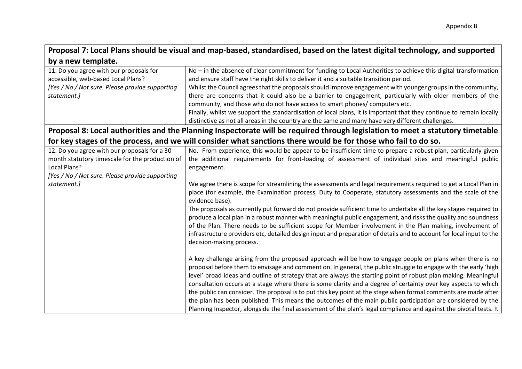| Proposal 7: Local Plans should be visual and map-based, standardised, based on the latest digital technology, and supported |  |
|-----------------------------------------------------------------------------------------------------------------------------|--|
| by a new template.                                                                                                          |  |

| 11. Do you agree with our proposals for         | $No$ – in the absence of clear commitment for funding to Local Authorities to achieve this digital transformation   |
|-------------------------------------------------|---------------------------------------------------------------------------------------------------------------------|
| accessible, web-based Local Plans?              | and ensure staff have the right skills to deliver it and a suitable transition period.                              |
| [Yes / No / Not sure. Please provide supporting | Whilst the Council agrees that the proposals should improve engagement with younger groups in the community,        |
| statement.]                                     | there are concerns that it could also be a barrier to engagement, particularly with older members of the            |
|                                                 | community, and those who do not have access to smart phones/computers etc.                                          |
|                                                 | Finally, whilst we support the standardisation of local plans, it is important that they continue to remain locally |
|                                                 | distinctive as not all areas in the country are the same and many have very different challenges.                   |
|                                                 |                                                                                                                     |

**Proposal 8: Local authorities and the Planning Inspectorate will be required through legislation to meet a statutory timetable for key stages of the process, and we will consider what sanctions there would be for those who fail to do so.**

| 12. Do you agree with our proposals for a 30<br>month statutory timescale for the production of<br>Local Plans? | No. From experience, this would be appear to be insufficient time to prepare a robust plan, particularly given<br>the additional requirements for front-loading of assessment of individual sites and meaningful public<br>engagement.                                                                                                                                                                                                                                                                                                                                                                                                                                                                                                                                                                                     |
|-----------------------------------------------------------------------------------------------------------------|----------------------------------------------------------------------------------------------------------------------------------------------------------------------------------------------------------------------------------------------------------------------------------------------------------------------------------------------------------------------------------------------------------------------------------------------------------------------------------------------------------------------------------------------------------------------------------------------------------------------------------------------------------------------------------------------------------------------------------------------------------------------------------------------------------------------------|
| [Yes / No / Not sure. Please provide supporting                                                                 |                                                                                                                                                                                                                                                                                                                                                                                                                                                                                                                                                                                                                                                                                                                                                                                                                            |
| statement.]                                                                                                     | We agree there is scope for streamlining the assessments and legal requirements required to get a Local Plan in<br>place (for example, the Examination process, Duty to Cooperate, statutory assessments and the scale of the<br>evidence base).                                                                                                                                                                                                                                                                                                                                                                                                                                                                                                                                                                           |
|                                                                                                                 | The proposals as currently put forward do not provide sufficient time to undertake all the key stages required to<br>produce a local plan in a robust manner with meaningful public engagement, and risks the quality and soundness<br>of the Plan. There needs to be sufficient scope for Member involvement in the Plan making, involvement of<br>infrastructure providers etc, detailed design input and preparation of details and to account for local input to the<br>decision-making process.                                                                                                                                                                                                                                                                                                                       |
|                                                                                                                 | A key challenge arising from the proposed approach will be how to engage people on plans when there is no<br>proposal before them to envisage and comment on. In general, the public struggle to engage with the early 'high<br>level' broad ideas and outline of strategy that are always the starting point of robust plan making. Meaningful<br>consultation occurs at a stage where there is some clarity and a degree of certainty over key aspects to which<br>the public can consider. The proposal is to put this key point at the stage when formal comments are made after<br>the plan has been published. This means the outcomes of the main public participation are considered by the<br>Planning Inspector, alongside the final assessment of the plan's legal compliance and against the pivotal tests. It |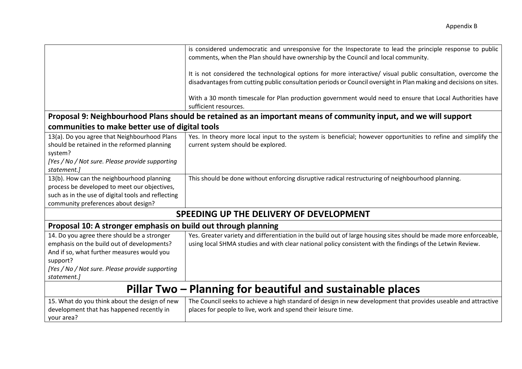|                                                                                                                                                                                                                       | is considered undemocratic and unresponsive for the Inspectorate to lead the principle response to public<br>comments, when the Plan should have ownership by the Council and local community.<br>It is not considered the technological options for more interactive/ visual public consultation, overcome the<br>disadvantages from cutting public consultation periods or Council oversight in Plan making and decisions on sites.<br>With a 30 month timescale for Plan production government would need to ensure that Local Authorities have<br>sufficient resources.<br>Proposal 9: Neighbourhood Plans should be retained as an important means of community input, and we will support |
|-----------------------------------------------------------------------------------------------------------------------------------------------------------------------------------------------------------------------|-------------------------------------------------------------------------------------------------------------------------------------------------------------------------------------------------------------------------------------------------------------------------------------------------------------------------------------------------------------------------------------------------------------------------------------------------------------------------------------------------------------------------------------------------------------------------------------------------------------------------------------------------------------------------------------------------|
| communities to make better use of digital tools                                                                                                                                                                       |                                                                                                                                                                                                                                                                                                                                                                                                                                                                                                                                                                                                                                                                                                 |
| 13(a). Do you agree that Neighbourhood Plans<br>should be retained in the reformed planning<br>system?<br>[Yes / No / Not sure. Please provide supporting<br>statement.]                                              | Yes. In theory more local input to the system is beneficial; however opportunities to refine and simplify the<br>current system should be explored.                                                                                                                                                                                                                                                                                                                                                                                                                                                                                                                                             |
| 13(b). How can the neighbourhood planning<br>process be developed to meet our objectives,<br>such as in the use of digital tools and reflecting<br>community preferences about design?                                | This should be done without enforcing disruptive radical restructuring of neighbourhood planning.                                                                                                                                                                                                                                                                                                                                                                                                                                                                                                                                                                                               |
|                                                                                                                                                                                                                       | SPEEDING UP THE DELIVERY OF DEVELOPMENT                                                                                                                                                                                                                                                                                                                                                                                                                                                                                                                                                                                                                                                         |
| Proposal 10: A stronger emphasis on build out through planning                                                                                                                                                        |                                                                                                                                                                                                                                                                                                                                                                                                                                                                                                                                                                                                                                                                                                 |
| 14. Do you agree there should be a stronger<br>emphasis on the build out of developments?<br>And if so, what further measures would you<br>support?<br>[Yes / No / Not sure. Please provide supporting<br>statement.] | Yes. Greater variety and differentiation in the build out of large housing sites should be made more enforceable,<br>using local SHMA studies and with clear national policy consistent with the findings of the Letwin Review.                                                                                                                                                                                                                                                                                                                                                                                                                                                                 |
| Pillar Two – Planning for beautiful and sustainable places                                                                                                                                                            |                                                                                                                                                                                                                                                                                                                                                                                                                                                                                                                                                                                                                                                                                                 |
| 15. What do you think about the design of new<br>development that has happened recently in<br>your area?                                                                                                              | The Council seeks to achieve a high standard of design in new development that provides useable and attractive<br>places for people to live, work and spend their leisure time.                                                                                                                                                                                                                                                                                                                                                                                                                                                                                                                 |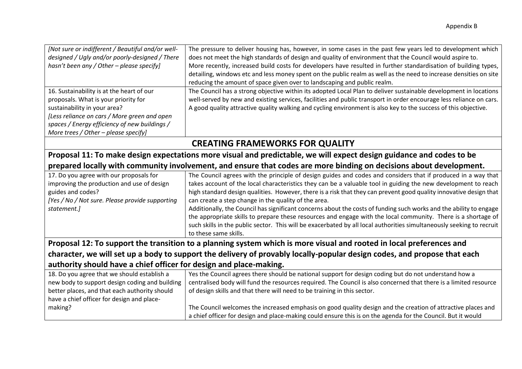| [Not sure or indifferent / Beautiful and/or well- | The pressure to deliver housing has, however, in some cases in the past few years led to development which          |
|---------------------------------------------------|---------------------------------------------------------------------------------------------------------------------|
| designed / Ugly and/or poorly-designed / There    | does not meet the high standards of design and quality of environment that the Council would aspire to.             |
| hasn't been any / Other - please specify]         | More recently, increased build costs for developers have resulted in further standardisation of building types,     |
|                                                   | detailing, windows etc and less money spent on the public realm as well as the need to increase densities on site   |
|                                                   | reducing the amount of space given over to landscaping and public realm.                                            |
| 16. Sustainability is at the heart of our         | The Council has a strong objective within its adopted Local Plan to deliver sustainable development in locations    |
| proposals. What is your priority for              | well-served by new and existing services, facilities and public transport in order encourage less reliance on cars. |
| sustainability in your area?                      | A good quality attractive quality walking and cycling environment is also key to the success of this objective.     |
| [Less reliance on cars / More green and open      |                                                                                                                     |
| spaces / Energy efficiency of new buildings /     |                                                                                                                     |
| More trees / Other - please specify]              |                                                                                                                     |
|                                                   |                                                                                                                     |

# **CREATING FRAMEWORKS FOR QUALITY**

## **Proposal 11: To make design expectations more visual and predictable, we will expect design guidance and codes to be prepared locally with community involvement, and ensure that codes are more binding on decisions about development.**

| 17. Do you agree with our proposals for                                                                              | The Council agrees with the principle of design guides and codes and considers that if produced in a way that            |  |
|----------------------------------------------------------------------------------------------------------------------|--------------------------------------------------------------------------------------------------------------------------|--|
| improving the production and use of design                                                                           | takes account of the local characteristics they can be a valuable tool in guiding the new development to reach           |  |
| guides and codes?                                                                                                    | high standard design qualities. However, there is a risk that they can prevent good quality innovative design that       |  |
| [Yes / No / Not sure. Please provide supporting                                                                      | can create a step change in the quality of the area.                                                                     |  |
| statement.]                                                                                                          | Additionally, the Council has significant concerns about the costs of funding such works and the ability to engage       |  |
|                                                                                                                      | the appropriate skills to prepare these resources and engage with the local community. There is a shortage of            |  |
|                                                                                                                      | such skills in the public sector. This will be exacerbated by all local authorities simultaneously seeking to recruit    |  |
|                                                                                                                      | to these same skills.                                                                                                    |  |
| Proposal 12: To support the transition to a planning system which is more visual and rooted in local preferences and |                                                                                                                          |  |
|                                                                                                                      | character, we will set up a body to support the delivery of provably locally-popular design codes, and propose that each |  |

## **authority should have a chief officer for design and place-making.**

| 18. Do you agree that we should establish a    | Yes the Council agrees there should be national support for design coding but do not understand how a             |
|------------------------------------------------|-------------------------------------------------------------------------------------------------------------------|
| new body to support design coding and building | centralised body will fund the resources required. The Council is also concerned that there is a limited resource |
| better places, and that each authority should  | of design skills and that there will need to be training in this sector.                                          |
| have a chief officer for design and place-     |                                                                                                                   |
| making?                                        | The Council welcomes the increased emphasis on good quality design and the creation of attractive places and      |
|                                                | a chief officer for design and place-making could ensure this is on the agenda for the Council. But it would      |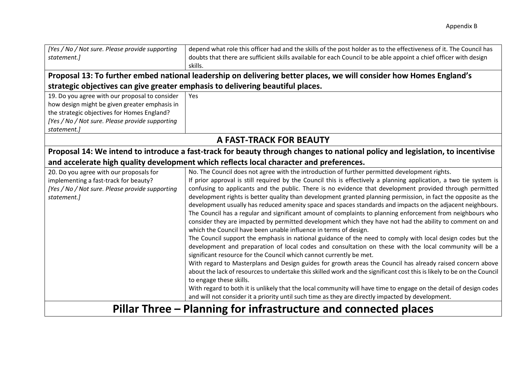| [Yes / No / Not sure. Please provide supporting<br>statement.]  | depend what role this officer had and the skills of the post holder as to the effectiveness of it. The Council has<br>doubts that there are sufficient skills available for each Council to be able appoint a chief officer with design |
|-----------------------------------------------------------------|-----------------------------------------------------------------------------------------------------------------------------------------------------------------------------------------------------------------------------------------|
|                                                                 | skills.                                                                                                                                                                                                                                 |
|                                                                 | Proposal 13: To further embed national leadership on delivering better places, we will consider how Homes England's                                                                                                                     |
|                                                                 | strategic objectives can give greater emphasis to delivering beautiful places.                                                                                                                                                          |
| 19. Do you agree with our proposal to consider                  | <b>Yes</b>                                                                                                                                                                                                                              |
| how design might be given greater emphasis in                   |                                                                                                                                                                                                                                         |
| the strategic objectives for Homes England?                     |                                                                                                                                                                                                                                         |
| [Yes / No / Not sure. Please provide supporting                 |                                                                                                                                                                                                                                         |
| statement.]                                                     |                                                                                                                                                                                                                                         |
|                                                                 | A FAST-TRACK FOR BEAUTY                                                                                                                                                                                                                 |
|                                                                 | Proposal 14: We intend to introduce a fast-track for beauty through changes to national policy and legislation, to incentivise                                                                                                          |
|                                                                 | and accelerate high quality development which reflects local character and preferences.                                                                                                                                                 |
| 20. Do you agree with our proposals for                         | No. The Council does not agree with the introduction of further permitted development rights.                                                                                                                                           |
| implementing a fast-track for beauty?                           | If prior approval is still required by the Council this is effectively a planning application, a two tie system is                                                                                                                      |
| [Yes / No / Not sure. Please provide supporting                 | confusing to applicants and the public. There is no evidence that development provided through permitted                                                                                                                                |
| statement.]                                                     | development rights is better quality than development granted planning permission, in fact the opposite as the                                                                                                                          |
|                                                                 | development usually has reduced amenity space and spaces standards and impacts on the adjacent neighbours.<br>The Council has a regular and significant amount of complaints to planning enforcement from neighbours who                |
|                                                                 | consider they are impacted by permitted development which they have not had the ability to comment on and                                                                                                                               |
|                                                                 | which the Council have been unable influence in terms of design.                                                                                                                                                                        |
|                                                                 | The Council support the emphasis in national guidance of the need to comply with local design codes but the                                                                                                                             |
|                                                                 | development and preparation of local codes and consultation on these with the local community will be a                                                                                                                                 |
|                                                                 | significant resource for the Council which cannot currently be met.                                                                                                                                                                     |
|                                                                 | With regard to Masterplans and Design guides for growth areas the Council has already raised concern above                                                                                                                              |
|                                                                 | about the lack of resources to undertake this skilled work and the significant cost this is likely to be on the Council<br>to engage these skills.                                                                                      |
|                                                                 | With regard to both it is unlikely that the local community will have time to engage on the detail of design codes<br>and will not consider it a priority until such time as they are directly impacted by development.                 |
| Pillar Three – Planning for infrastructure and connected places |                                                                                                                                                                                                                                         |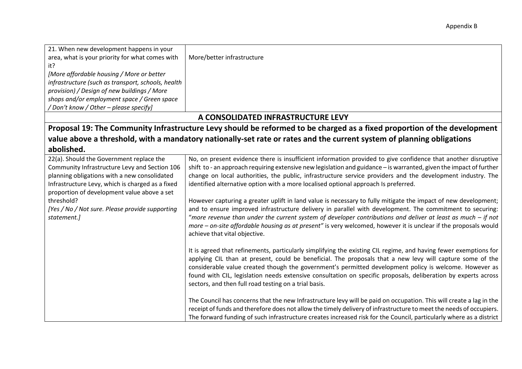| 21. When new development happens in your                                                                                                                                                                                                                                                                                     |                                                                                                                                                                                                                                                                                                                                                                                                                                                                                                                                                                                                                                                                                                                                                                                                                                                                                                                                                |
|------------------------------------------------------------------------------------------------------------------------------------------------------------------------------------------------------------------------------------------------------------------------------------------------------------------------------|------------------------------------------------------------------------------------------------------------------------------------------------------------------------------------------------------------------------------------------------------------------------------------------------------------------------------------------------------------------------------------------------------------------------------------------------------------------------------------------------------------------------------------------------------------------------------------------------------------------------------------------------------------------------------------------------------------------------------------------------------------------------------------------------------------------------------------------------------------------------------------------------------------------------------------------------|
| area, what is your priority for what comes with                                                                                                                                                                                                                                                                              | More/better infrastructure                                                                                                                                                                                                                                                                                                                                                                                                                                                                                                                                                                                                                                                                                                                                                                                                                                                                                                                     |
| it?                                                                                                                                                                                                                                                                                                                          |                                                                                                                                                                                                                                                                                                                                                                                                                                                                                                                                                                                                                                                                                                                                                                                                                                                                                                                                                |
| [More affordable housing / More or better                                                                                                                                                                                                                                                                                    |                                                                                                                                                                                                                                                                                                                                                                                                                                                                                                                                                                                                                                                                                                                                                                                                                                                                                                                                                |
| infrastructure (such as transport, schools, health                                                                                                                                                                                                                                                                           |                                                                                                                                                                                                                                                                                                                                                                                                                                                                                                                                                                                                                                                                                                                                                                                                                                                                                                                                                |
| provision) / Design of new buildings / More                                                                                                                                                                                                                                                                                  |                                                                                                                                                                                                                                                                                                                                                                                                                                                                                                                                                                                                                                                                                                                                                                                                                                                                                                                                                |
| shops and/or employment space / Green space                                                                                                                                                                                                                                                                                  |                                                                                                                                                                                                                                                                                                                                                                                                                                                                                                                                                                                                                                                                                                                                                                                                                                                                                                                                                |
| / Don't know / Other - please specify]                                                                                                                                                                                                                                                                                       |                                                                                                                                                                                                                                                                                                                                                                                                                                                                                                                                                                                                                                                                                                                                                                                                                                                                                                                                                |
|                                                                                                                                                                                                                                                                                                                              | A CONSOLIDATED INFRASTRUCTURE LEVY                                                                                                                                                                                                                                                                                                                                                                                                                                                                                                                                                                                                                                                                                                                                                                                                                                                                                                             |
|                                                                                                                                                                                                                                                                                                                              | Proposal 19: The Community Infrastructure Levy should be reformed to be charged as a fixed proportion of the development                                                                                                                                                                                                                                                                                                                                                                                                                                                                                                                                                                                                                                                                                                                                                                                                                       |
|                                                                                                                                                                                                                                                                                                                              | value above a threshold, with a mandatory nationally-set rate or rates and the current system of planning obligations                                                                                                                                                                                                                                                                                                                                                                                                                                                                                                                                                                                                                                                                                                                                                                                                                          |
| abolished.                                                                                                                                                                                                                                                                                                                   |                                                                                                                                                                                                                                                                                                                                                                                                                                                                                                                                                                                                                                                                                                                                                                                                                                                                                                                                                |
| 22(a). Should the Government replace the<br>Community Infrastructure Levy and Section 106<br>planning obligations with a new consolidated<br>Infrastructure Levy, which is charged as a fixed<br>proportion of development value above a set<br>threshold?<br>[Yes / No / Not sure. Please provide supporting<br>statement.] | No, on present evidence there is insufficient information provided to give confidence that another disruptive<br>shift to - an approach requiring extensive new legislation and guidance - is warranted, given the impact of further<br>change on local authorities, the public, infrastructure service providers and the development industry. The<br>identified alternative option with a more localised optional approach Is preferred.<br>However capturing a greater uplift in land value is necessary to fully mitigate the impact of new development;<br>and to ensure improved infrastructure delivery in parallel with development. The commitment to securing:<br>"more revenue than under the current system of developer contributions and deliver at least as much $-$ if not<br>more – on-site affordable housing as at present" is very welcomed, however it is unclear if the proposals would<br>achieve that vital objective. |
|                                                                                                                                                                                                                                                                                                                              | It is agreed that refinements, particularly simplifying the existing CIL regime, and having fewer exemptions for<br>applying CIL than at present, could be beneficial. The proposals that a new levy will capture some of the<br>considerable value created though the government's permitted development policy is welcome. However as<br>found with CIL, legislation needs extensive consultation on specific proposals, deliberation by experts across<br>sectors, and then full road testing on a trial basis.<br>The Council has concerns that the new Infrastructure levy will be paid on occupation. This will create a lag in the<br>receipt of funds and therefore does not allow the timely delivery of infrastructure to meet the needs of occupiers.<br>The forward funding of such infrastructure creates increased risk for the Council, particularly where as a district                                                        |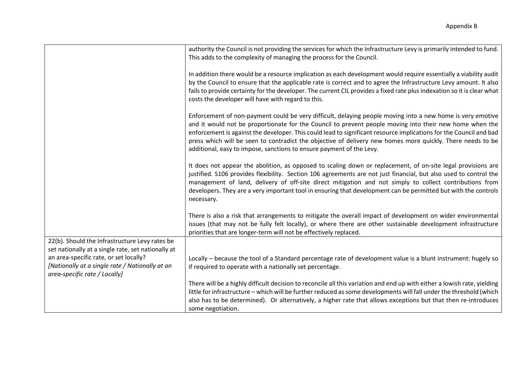|                                                                                                                            | authority the Council is not providing the services for which the Infrastructure Levy is primarily intended to fund.<br>This adds to the complexity of managing the process for the Council.                                                                                                                                                                                                                                                                                                                                      |
|----------------------------------------------------------------------------------------------------------------------------|-----------------------------------------------------------------------------------------------------------------------------------------------------------------------------------------------------------------------------------------------------------------------------------------------------------------------------------------------------------------------------------------------------------------------------------------------------------------------------------------------------------------------------------|
|                                                                                                                            | In addition there would be a resource implication as each development would require essentially a viability audit<br>by the Council to ensure that the applicable rate is correct and to agree the Infrastructure Levy amount. It also<br>fails to provide certainty for the developer. The current CIL provides a fixed rate plus indexation so it is clear what<br>costs the developer will have with regard to this.                                                                                                           |
|                                                                                                                            | Enforcement of non-payment could be very difficult, delaying people moving into a new home is very emotive<br>and it would not be proportionate for the Council to prevent people moving into their new home when the<br>enforcement is against the developer. This could lead to significant resource implications for the Council and bad<br>press which will be seen to contradict the objective of delivery new homes more quickly. There needs to be<br>additional, easy to impose, sanctions to ensure payment of the Levy. |
|                                                                                                                            | It does not appear the abolition, as opposed to scaling down or replacement, of on-site legal provisions are<br>justified. S106 provides flexibility. Section 106 agreements are not just financial, but also used to control the<br>management of land, delivery of off-site direct mitigation and not simply to collect contributions from<br>developers. They are a very important tool in ensuring that development can be permitted but with the controls<br>necessary.                                                      |
|                                                                                                                            | There is also a risk that arrangements to mitigate the overall impact of development on wider environmental<br>issues (that may not be fully felt locally), or where there are other sustainable development infrastructure<br>priorities that are longer-term will not be effectively replaced.                                                                                                                                                                                                                                  |
| 22(b). Should the Infrastructure Levy rates be<br>set nationally at a single rate, set nationally at                       |                                                                                                                                                                                                                                                                                                                                                                                                                                                                                                                                   |
| an area-specific rate, or set locally?<br>[Nationally at a single rate / Nationally at an<br>area-specific rate / Locally] | Locally - because the tool of a Standard percentage rate of development value is a blunt instrument: hugely so<br>if required to operate with a nationally set percentage.                                                                                                                                                                                                                                                                                                                                                        |
|                                                                                                                            | There will be a highly difficult decision to reconcile all this variation and end up with either a lowish rate, yielding<br>little for infrastructure - which will be further reduced as some developments will fall under the threshold (which<br>also has to be determined). Or alternatively, a higher rate that allows exceptions but that then re-introduces<br>some negotiation.                                                                                                                                            |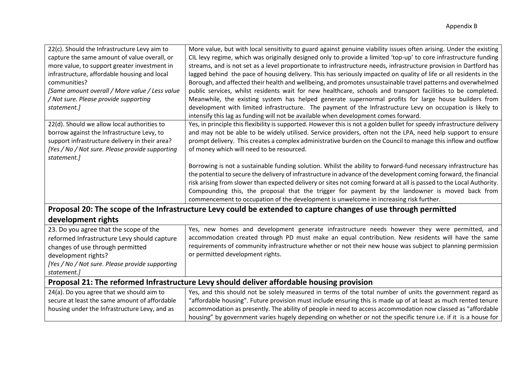| 22(c). Should the Infrastructure Levy aim to<br>capture the same amount of value overall, or<br>more value, to support greater investment in<br>infrastructure, affordable housing and local<br>communities?<br>[Same amount overall / More value / Less value<br>/ Not sure. Please provide supporting | More value, but with local sensitivity to guard against genuine viability issues often arising. Under the existing<br>CIL levy regime, which was originally designed only to provide a limited 'top-up' to core infrastructure funding<br>streams, and is not set as a level proportionate to infrastructure needs, infrastructure provision in Dartford has<br>lagged behind the pace of housing delivery. This has seriously impacted on quality of life or all residents in the<br>Borough, and affected their health and wellbeing, and promotes unsustainable travel patterns and overwhelmed<br>public services, whilst residents wait for new healthcare, schools and transport facilities to be completed.<br>Meanwhile, the existing system has helped generate supernormal profits for large house builders from                                                                                                                                                                                                                                   |
|---------------------------------------------------------------------------------------------------------------------------------------------------------------------------------------------------------------------------------------------------------------------------------------------------------|--------------------------------------------------------------------------------------------------------------------------------------------------------------------------------------------------------------------------------------------------------------------------------------------------------------------------------------------------------------------------------------------------------------------------------------------------------------------------------------------------------------------------------------------------------------------------------------------------------------------------------------------------------------------------------------------------------------------------------------------------------------------------------------------------------------------------------------------------------------------------------------------------------------------------------------------------------------------------------------------------------------------------------------------------------------|
| statement.]                                                                                                                                                                                                                                                                                             | development with limited infrastructure. The payment of the Infrastructure Levy on occupation is likely to                                                                                                                                                                                                                                                                                                                                                                                                                                                                                                                                                                                                                                                                                                                                                                                                                                                                                                                                                   |
| 22(d). Should we allow local authorities to<br>borrow against the Infrastructure Levy, to<br>support infrastructure delivery in their area?<br>[Yes / No / Not sure. Please provide supporting<br>statement.]                                                                                           | intensify this lag as funding will not be available when development comes forward.<br>Yes, in principle this flexibility is supported. However this is not a golden bullet for speedy infrastructure delivery<br>and may not be able to be widely utilised. Service providers, often not the LPA, need help support to ensure<br>prompt delivery. This creates a complex administrative burden on the Council to manage this inflow and outflow<br>of money which will need to be resourced.<br>Borrowing is not a sustainable funding solution. Whilst the ability to forward-fund necessary infrastructure has<br>the potential to secure the delivery of infrastructure in advance of the development coming forward, the financial<br>risk arising from slower than expected delivery or sites not coming forward at all is passed to the Local Authority.<br>Compounding this, the proposal that the trigger for payment by the landowner is moved back from<br>commencement to occupation of the development is unwelcome in increasing risk further. |
|                                                                                                                                                                                                                                                                                                         | Proposal 20: The scope of the Infrastructure Levy could be extended to capture changes of use through permitted                                                                                                                                                                                                                                                                                                                                                                                                                                                                                                                                                                                                                                                                                                                                                                                                                                                                                                                                              |
| development rights                                                                                                                                                                                                                                                                                      |                                                                                                                                                                                                                                                                                                                                                                                                                                                                                                                                                                                                                                                                                                                                                                                                                                                                                                                                                                                                                                                              |
| 23. Do you agree that the scope of the<br>reformed Infrastructure Levy should capture<br>changes of use through permitted<br>development rights?<br>[Yes / No / Not sure. Please provide supporting<br>statement.]                                                                                      | Yes, new homes and development generate infrastructure needs however they were permitted, and<br>accommodation created through PD must make an equal contribution. New residents will have the same<br>requirements of community infrastructure whether or not their new house was subject to planning permission<br>or permitted development rights.                                                                                                                                                                                                                                                                                                                                                                                                                                                                                                                                                                                                                                                                                                        |
| Proposal 21: The reformed Infrastructure Levy should deliver affordable housing provision                                                                                                                                                                                                               |                                                                                                                                                                                                                                                                                                                                                                                                                                                                                                                                                                                                                                                                                                                                                                                                                                                                                                                                                                                                                                                              |
| 24(a). Do you agree that we should aim to                                                                                                                                                                                                                                                               | Yes, and this should not be solely measured in terms of the total number of units the government regard as<br>$\theta$ cc $\theta$ iii ii<br>$\mathcal{L}$ , and the contract of the contract of the contract of the contract of the contract of the contract of the contract of the contract of the contract of the contract of the contract of the contract of the contract o                                                                                                                                                                                                                                                                                                                                                                                                                                                                                                                                                                                                                                                                              |
|                                                                                                                                                                                                                                                                                                         |                                                                                                                                                                                                                                                                                                                                                                                                                                                                                                                                                                                                                                                                                                                                                                                                                                                                                                                                                                                                                                                              |

| .                                             |                                                                                                                              |  |
|-----------------------------------------------|------------------------------------------------------------------------------------------------------------------------------|--|
| secure at least the same amount of affordable | $\,$ "affordable housing". Future provision must include ensuring this is made up of at least as much rented tenure          |  |
| housing under the Infrastructure Levy, and as | $\perp$ accommodation as presently. The ability of people in need to access accommodation now classed as "affordable $\perp$ |  |
|                                               | housing" by government varies hugely depending on whether or not the specific tenure i.e. if it is a house for               |  |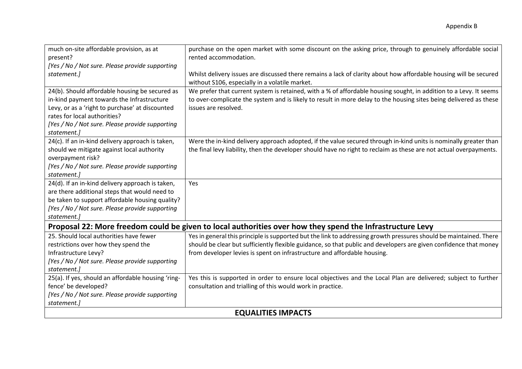| much on-site affordable provision, as at                                                                  | purchase on the open market with some discount on the asking price, through to genuinely affordable social         |
|-----------------------------------------------------------------------------------------------------------|--------------------------------------------------------------------------------------------------------------------|
| present?                                                                                                  | rented accommodation.                                                                                              |
| [Yes / No / Not sure. Please provide supporting                                                           |                                                                                                                    |
| statement.]                                                                                               | Whilst delivery issues are discussed there remains a lack of clarity about how affordable housing will be secured  |
|                                                                                                           | without S106, especially in a volatile market.                                                                     |
| 24(b). Should affordable housing be secured as                                                            | We prefer that current system is retained, with a % of affordable housing sought, in addition to a Levy. It seems  |
| in-kind payment towards the Infrastructure                                                                | to over-complicate the system and is likely to result in more delay to the housing sites being delivered as these  |
| Levy, or as a 'right to purchase' at discounted                                                           | issues are resolved.                                                                                               |
| rates for local authorities?                                                                              |                                                                                                                    |
| [Yes / No / Not sure. Please provide supporting                                                           |                                                                                                                    |
| statement.]                                                                                               |                                                                                                                    |
| 24(c). If an in-kind delivery approach is taken,                                                          | Were the in-kind delivery approach adopted, if the value secured through in-kind units is nominally greater than   |
| should we mitigate against local authority                                                                | the final levy liability, then the developer should have no right to reclaim as these are not actual overpayments. |
| overpayment risk?                                                                                         |                                                                                                                    |
| [Yes / No / Not sure. Please provide supporting                                                           |                                                                                                                    |
| statement.]                                                                                               |                                                                                                                    |
| 24(d). If an in-kind delivery approach is taken,                                                          | Yes                                                                                                                |
| are there additional steps that would need to                                                             |                                                                                                                    |
| be taken to support affordable housing quality?                                                           |                                                                                                                    |
| [Yes / No / Not sure. Please provide supporting                                                           |                                                                                                                    |
| statement.)                                                                                               |                                                                                                                    |
| Proposal 22: More freedom could be given to local authorities over how they spend the Infrastructure Levy |                                                                                                                    |
| 25. Should local authorities have fewer                                                                   | Yes in general this principle is supported but the link to addressing growth pressures should be maintained. There |
| restrictions over how they spend the                                                                      | should be clear but sufficiently flexible guidance, so that public and developers are given confidence that money  |
| Infrastructure Levy?                                                                                      | from developer levies is spent on infrastructure and affordable housing.                                           |
| [Yes / No / Not sure. Please provide supporting                                                           |                                                                                                                    |
| statement.]                                                                                               |                                                                                                                    |
| 25(a). If yes, should an affordable housing 'ring-                                                        | Yes this is supported in order to ensure local objectives and the Local Plan are delivered; subject to further     |
| fence' be developed?                                                                                      | consultation and trialling of this would work in practice.                                                         |
| [Yes / No / Not sure. Please provide supporting                                                           |                                                                                                                    |
| statement.]                                                                                               |                                                                                                                    |
| <b>EQUALITIES IMPACTS</b>                                                                                 |                                                                                                                    |